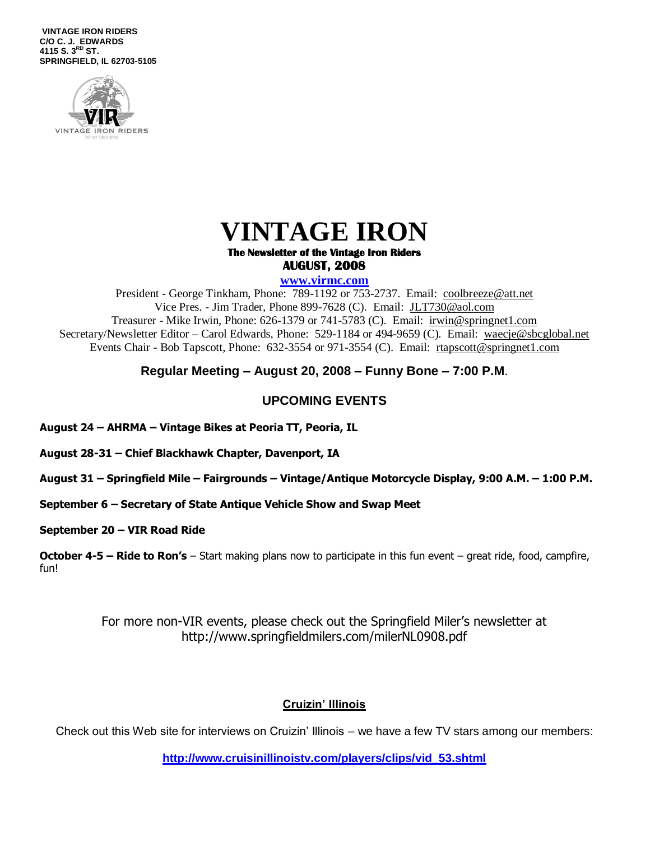**VINTAGE IRON RIDERS C/O C. J. EDWARDS 4115 S. 3 RD ST. SPRINGFIELD, IL 62703-5105**



# **VINTAGE IRON**

#### **The Newsletter of the Vintage Iron Riders AUGUST, 2008**

#### **www.virmc.com**

President - George Tinkham, Phone: 789-1192 or 753-2737. Email: [coolbreeze@att.net](mailto:coolbreeze@att.net) Vice Pres. - Jim Trader, Phone 899-7628 (C). Email: [JLT730@aol.com](mailto:JLT730@aol.com) Treasurer - Mike Irwin, Phone: 626-1379 or 741-5783 (C). Email: irwin@springnet1.com Secretary/Newsletter Editor – Carol Edwards, Phone: 529-1184 or 494-9659 (C). Email: waecje@sbcglobal.net Events Chair - Bob Tapscott, Phone: 632-3554 or 971-3554 (C). Email: [rtapscott@springnet1.com](mailto:rtapscott@springnet1.com)

### **Regular Meeting – August 20, 2008 – Funny Bone – 7:00 P.M**.

### **UPCOMING EVENTS**

**August 24 – AHRMA – Vintage Bikes at Peoria TT, Peoria, IL**

**August 28-31 – Chief Blackhawk Chapter, Davenport, IA**

**August 31 – Springfield Mile – Fairgrounds – Vintage/Antique Motorcycle Display, 9:00 A.M. – 1:00 P.M.**

**September 6 – Secretary of State Antique Vehicle Show and Swap Meet**

**September 20 – VIR Road Ride**

**October 4-5 – Ride to Ron's** – Start making plans now to participate in this fun event – great ride, food, campfire, fun!

> For more non-VIR events, please check out the Springfield Miler's newsletter at http://www.springfieldmilers.com/milerNL0908.pdf

## **Cruizin' Illinois**

Check out this Web site for interviews on Cruizin' Illinois – we have a few TV stars among our members:

**[http://www.cruisinillinoistv.com/players/clips/vid\\_53.shtml](http://www.cruisinillinoistv.com/players/clips/vid_53.shtml)**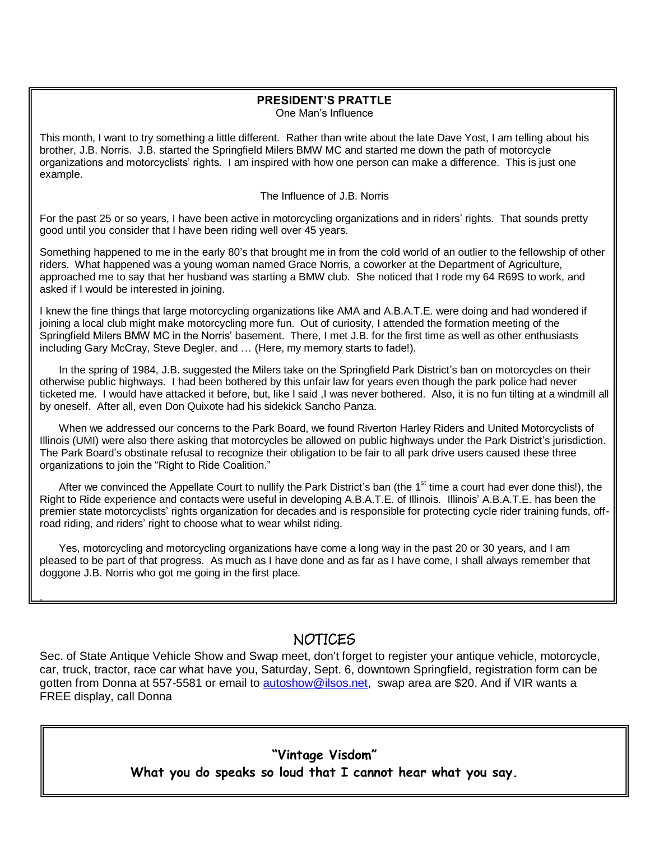## **PRESIDENT'S PRATTLE**

One Man's Influence

This month, I want to try something a little different. Rather than write about the late Dave Yost, I am telling about his brother, J.B. Norris. J.B. started the Springfield Milers BMW MC and started me down the path of motorcycle organizations and motorcyclists' rights. I am inspired with how one person can make a difference. This is just one example.

#### The Influence of J.B. Norris

For the past 25 or so years, I have been active in motorcycling organizations and in riders' rights. That sounds pretty good until you consider that I have been riding well over 45 years.

Something happened to me in the early 80's that brought me in from the cold world of an outlier to the fellowship of other riders. What happened was a young woman named Grace Norris, a coworker at the Department of Agriculture, approached me to say that her husband was starting a BMW club. She noticed that I rode my 64 R69S to work, and asked if I would be interested in joining.

I knew the fine things that large motorcycling organizations like AMA and A.B.A.T.E. were doing and had wondered if joining a local club might make motorcycling more fun. Out of curiosity, I attended the formation meeting of the Springfield Milers BMW MC in the Norris' basement. There, I met J.B. for the first time as well as other enthusiasts including Gary McCray, Steve Degler, and … (Here, my memory starts to fade!).

In the spring of 1984, J.B. suggested the Milers take on the Springfield Park District's ban on motorcycles on their otherwise public highways. I had been bothered by this unfair law for years even though the park police had never ticketed me. I would have attacked it before, but, like I said ,I was never bothered. Also, it is no fun tilting at a windmill all by oneself. After all, even Don Quixote had his sidekick Sancho Panza.

When we addressed our concerns to the Park Board, we found Riverton Harley Riders and United Motorcyclists of Illinois (UMI) were also there asking that motorcycles be allowed on public highways under the Park District's jurisdiction. The Park Board's obstinate refusal to recognize their obligation to be fair to all park drive users caused these three organizations to join the "Right to Ride Coalition."

After we convinced the Appellate Court to nullify the Park District's ban (the 1<sup>st</sup> time a court had ever done this!), the Right to Ride experience and contacts were useful in developing A.B.A.T.E. of Illinois. Illinois' A.B.A.T.E. has been the premier state motorcyclists' rights organization for decades and is responsible for protecting cycle rider training funds, offroad riding, and riders' right to choose what to wear whilst riding.

Yes, motorcycling and motorcycling organizations have come a long way in the past 20 or 30 years, and I am pleased to be part of that progress. As much as I have done and as far as I have come, I shall always remember that doggone J.B. Norris who got me going in the first place.

.

## NOTICES

Sec. of State Antique Vehicle Show and Swap meet, don't forget to register your antique vehicle, motorcycle, car, truck, tractor, race car what have you, Saturday, Sept. 6, downtown Springfield, registration form can be gotten from Donna at 557-5581 or email to [autoshow@ilsos.net,](mailto:autoshow@ilsos.net) swap area are \$20. And if VIR wants a FREE display, call Donna

> **"Vintage Visdom" What you do speaks so loud that I cannot hear what you say.**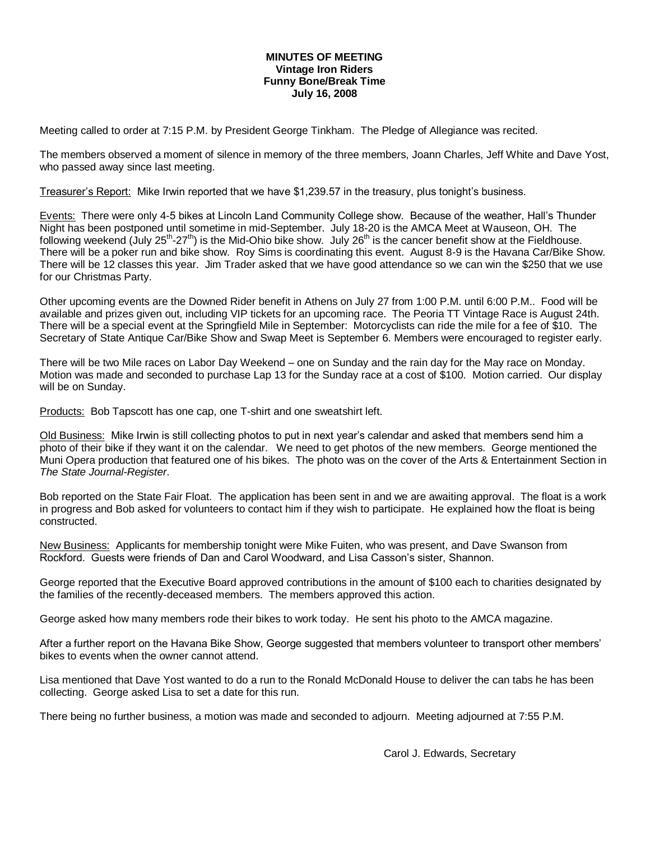#### **MINUTES OF MEETING Vintage Iron Riders Funny Bone/Break Time July 16, 2008**

Meeting called to order at 7:15 P.M. by President George Tinkham. The Pledge of Allegiance was recited.

The members observed a moment of silence in memory of the three members, Joann Charles, Jeff White and Dave Yost, who passed away since last meeting.

Treasurer's Report: Mike Irwin reported that we have \$1,239.57 in the treasury, plus tonight's business.

Events: There were only 4-5 bikes at Lincoln Land Community College show. Because of the weather, Hall's Thunder Night has been postponed until sometime in mid-September. July 18-20 is the AMCA Meet at Wauseon, OH. The following weekend (July 25<sup>th</sup>-27<sup>th</sup>) is the Mid-Ohio bike show. July 26<sup>th</sup> is the cancer benefit show at the Fieldhouse. There will be a poker run and bike show. Roy Sims is coordinating this event. August 8-9 is the Havana Car/Bike Show. There will be 12 classes this year. Jim Trader asked that we have good attendance so we can win the \$250 that we use for our Christmas Party.

Other upcoming events are the Downed Rider benefit in Athens on July 27 from 1:00 P.M. until 6:00 P.M.. Food will be available and prizes given out, including VIP tickets for an upcoming race. The Peoria TT Vintage Race is August 24th. There will be a special event at the Springfield Mile in September: Motorcyclists can ride the mile for a fee of \$10. The Secretary of State Antique Car/Bike Show and Swap Meet is September 6. Members were encouraged to register early.

There will be two Mile races on Labor Day Weekend – one on Sunday and the rain day for the May race on Monday. Motion was made and seconded to purchase Lap 13 for the Sunday race at a cost of \$100. Motion carried. Our display will be on Sunday.

Products: Bob Tapscott has one cap, one T-shirt and one sweatshirt left.

Old Business: Mike Irwin is still collecting photos to put in next year's calendar and asked that members send him a photo of their bike if they want it on the calendar. We need to get photos of the new members. George mentioned the Muni Opera production that featured one of his bikes. The photo was on the cover of the Arts & Entertainment Section in *The State Journal-Register*.

Bob reported on the State Fair Float. The application has been sent in and we are awaiting approval. The float is a work in progress and Bob asked for volunteers to contact him if they wish to participate. He explained how the float is being constructed.

New Business: Applicants for membership tonight were Mike Fuiten, who was present, and Dave Swanson from Rockford. Guests were friends of Dan and Carol Woodward, and Lisa Casson's sister, Shannon.

George reported that the Executive Board approved contributions in the amount of \$100 each to charities designated by the families of the recently-deceased members. The members approved this action.

George asked how many members rode their bikes to work today. He sent his photo to the AMCA magazine.

After a further report on the Havana Bike Show, George suggested that members volunteer to transport other members' bikes to events when the owner cannot attend.

Lisa mentioned that Dave Yost wanted to do a run to the Ronald McDonald House to deliver the can tabs he has been collecting. George asked Lisa to set a date for this run.

There being no further business, a motion was made and seconded to adjourn. Meeting adjourned at 7:55 P.M.

Carol J. Edwards, Secretary